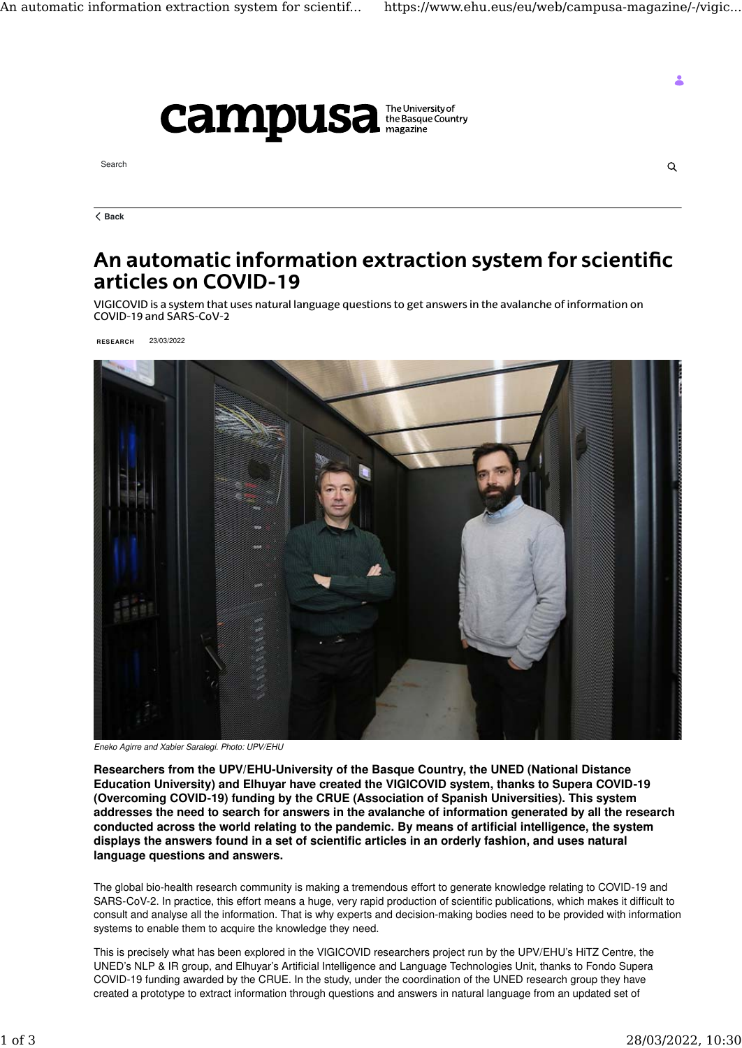$Q$ 



Search

**[Back](https://www.ehu.eus/eu/web/campusa-magazine/-/vigicovid-researchers-project#)**

## **An automatic information extraction system for scientific articles on COVID-19**

VIGICOVID is a system that uses natural language questions to get answers in the avalanche of information on COVID-19 and SARS-CoV-2

**RESEARCH** 23/03/2022



*Eneko Agirre and Xabier Saralegi. Photo: UPV/EHU*

**Researchers from the UPV/EHU-University of the Basque Country, the UNED (National Distance Education University) and Elhuyar have created the VIGICOVID system, thanks to Supera COVID-19 (Overcoming COVID-19) funding by the CRUE (Association of Spanish Universities). This system addresses the need to search for answers in the avalanche of information generated by all the research conducted across the world relating to the pandemic. By means of artificial intelligence, the system displays the answers found in a set of scientific articles in an orderly fashion, and uses natural language questions and answers.**

The global bio-health research community is making a tremendous effort to generate knowledge relating to COVID-19 and SARS-CoV-2. In practice, this effort means a huge, very rapid production of scientific publications, which makes it difficult to consult and analyse all the information. That is why experts and decision-making bodies need to be provided with information systems to enable them to acquire the knowledge they need.

This is precisely what has been explored in the VIGICOVID researchers project run by the UPV/EHU's HiTZ Centre, the UNED's NLP & IR group, and Elhuyar's Artificial Intelligence and Language Technologies Unit, thanks to Fondo Supera COVID-19 funding awarded by the CRUE. In the study, under the coordination of the UNED research group they have created a prototype to extract information through questions and answers in natural language from an updated set of